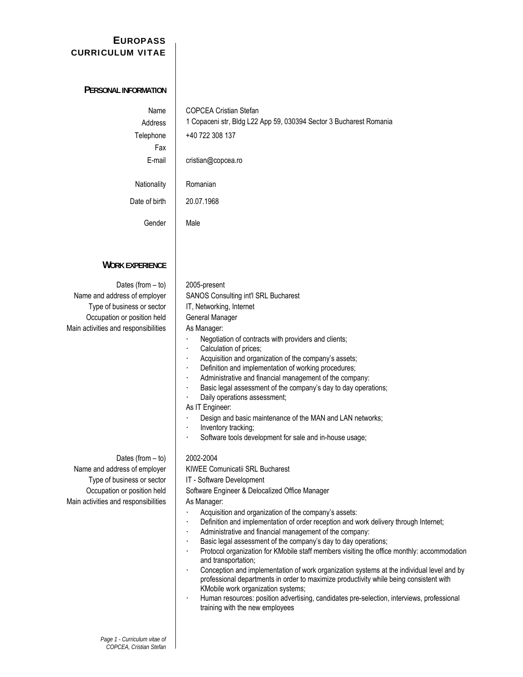# **E UROPASS CURRICULUM VITAE**

| PERSONAL INFORMATION                                                                                                                                     |                                                                                                                                                                                                                                                                                                                                                                                                                                                                                                                                                                                                                                                                                                                                                                                                                                                                                                                                                                |
|----------------------------------------------------------------------------------------------------------------------------------------------------------|----------------------------------------------------------------------------------------------------------------------------------------------------------------------------------------------------------------------------------------------------------------------------------------------------------------------------------------------------------------------------------------------------------------------------------------------------------------------------------------------------------------------------------------------------------------------------------------------------------------------------------------------------------------------------------------------------------------------------------------------------------------------------------------------------------------------------------------------------------------------------------------------------------------------------------------------------------------|
| Name<br>Address<br>Telephone<br>Fax<br>E-mail                                                                                                            | <b>COPCEA Cristian Stefan</b><br>1 Copaceni str, Bldg L22 App 59, 030394 Sector 3 Bucharest Romania<br>+40 722 308 137<br>cristian@copcea.ro                                                                                                                                                                                                                                                                                                                                                                                                                                                                                                                                                                                                                                                                                                                                                                                                                   |
| Nationality                                                                                                                                              | Romanian                                                                                                                                                                                                                                                                                                                                                                                                                                                                                                                                                                                                                                                                                                                                                                                                                                                                                                                                                       |
| Date of birth                                                                                                                                            | 20.07.1968                                                                                                                                                                                                                                                                                                                                                                                                                                                                                                                                                                                                                                                                                                                                                                                                                                                                                                                                                     |
| Gender                                                                                                                                                   | Male                                                                                                                                                                                                                                                                                                                                                                                                                                                                                                                                                                                                                                                                                                                                                                                                                                                                                                                                                           |
| <b>WORK EXPERIENCE</b>                                                                                                                                   |                                                                                                                                                                                                                                                                                                                                                                                                                                                                                                                                                                                                                                                                                                                                                                                                                                                                                                                                                                |
| Dates (from $-$ to)<br>Name and address of employer<br>Type of business or sector<br>Occupation or position held<br>Main activities and responsibilities | 2005-present<br>SANOS Consulting int'l SRL Bucharest<br>IT, Networking, Internet<br>General Manager<br>As Manager:<br>Negotiation of contracts with providers and clients;<br>$\bullet$<br>Calculation of prices;<br>Acquisition and organization of the company's assets;<br>$\bullet$<br>Definition and implementation of working procedures;<br>$\bullet$<br>Administrative and financial management of the company:<br>$\bullet$<br>Basic legal assessment of the company's day to day operations;<br>$\bullet$<br>Daily operations assessment;<br>As IT Engineer:<br>Design and basic maintenance of the MAN and LAN networks;<br>Inventory tracking;<br>$\bullet$<br>Software tools development for sale and in-house usage;<br>$\bullet$                                                                                                                                                                                                                |
| Dates (from $-$ to)<br>Name and address of employer<br>Type of business or sector<br>Occupation or position held<br>Main activities and responsibilities | 2002-2004<br>KIWEE Comunicatii SRL Bucharest<br>IT - Software Development<br>Software Engineer & Delocalized Office Manager<br>As Manager:<br>Acquisition and organization of the company's assets:<br>Definition and implementation of order reception and work delivery through Internet;<br>$\bullet$<br>Administrative and financial management of the company:<br>$\bullet$<br>Basic legal assessment of the company's day to day operations;<br>$\bullet$<br>Protocol organization for KMobile staff members visiting the office monthly: accommodation<br>and transportation;<br>Conception and implementation of work organization systems at the individual level and by<br>$\bullet$<br>professional departments in order to maximize productivity while being consistent with<br>KMobile work organization systems;<br>Human resources: position advertising, candidates pre-selection, interviews, professional<br>training with the new employees |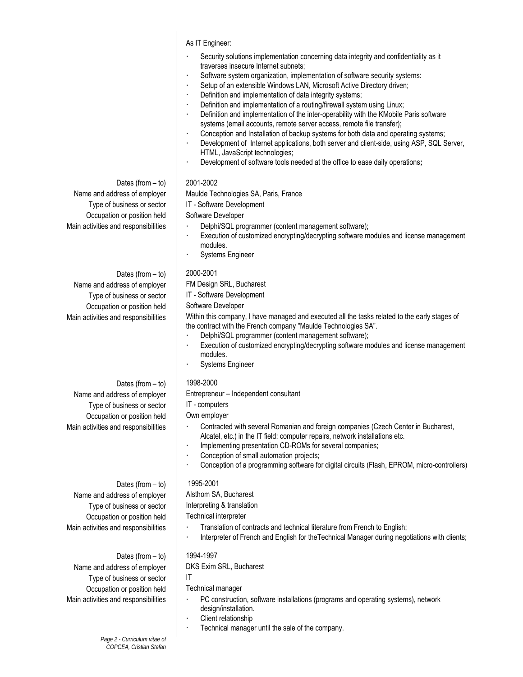As IT Engineer:

- Security solutions implementation concerning data integrity and confidentiality as it traverses insecure Internet subnets;
- Software system organization, implementation of software security systems:
- Setup of an extensible Windows LAN, Microsoft Active Directory driven;
- Definition and implementation of data integrity systems;
- Definition and implementation of a routing/firewall system using Linux;
- Definition and implementation of the inter-operability with the KMobile Paris software systems (email accounts, remote server access, remote file transfer);
- Conception and Installation of backup systems for both data and operating systems;
- Development of Internet applications, both server and client-side, using ASP, SQL Server, HTML, JavaScript technologies;
- Development of software tools needed at the office to ease daily operations;

### Dates (from  $-$  to) 2001-2002

Name and address of employer | Maulde Technologies SA, Paris, France

Type of business or sector | IT - Software Development

- Main activities and responsibilities | Delphi/SQL programmer (content management software);
	- Execution of customized encrypting/decrypting software modules and license management modules.
	- Systems Engineer

Main activities and responsibilities \ Within this company, I have managed and executed all the tasks related to the early stages of the contract with the French company "Maulde Technologies SA".

- Delphi/SQL programmer (content management software);
- Execution of customized encrypting/decrypting software modules and license management modules.
- Systems Engineer

Name and address of employer | Entrepreneur – Independent consultant

- Main activities and responsibilities **Fig. 2. Contracted with several Romanian and foreign companies (Czech Center in Bucharest,** Alcatel, etc.) in the IT field: computer repairs, network installations etc.
	- Implementing presentation CD-ROMs for several companies;
	- Conception of small automation projects;
	- Conception of a programming software for digital circuits (Flash, EPROM, micro-controllers)

- Main activities and responsibilities **Figure 3** Translation of contracts and technical literature from French to English;
	- Interpreter of French and English for the Technical Manager during negotiations with clients;

- Main activities and responsibilities **Fig.** PC construction, software installations (programs and operating systems), network design/installation.
	- Client relationship
	- Technical manager until the sale of the company.

Occupation or position held | Software Developer

Dates (from  $-$  to) | 2000-2001 Name and address of employer FM Design SRL, Bucharest Type of business or sector | IT - Software Development Occupation or position held | Software Developer

Dates (from – to) 1998-2000 Type of business or sector  $\begin{vmatrix} \n & \n & \n \end{vmatrix}$  IT - computers Occupation or position held | Own employer

Dates (from  $-$  to) | 1995-2001 Name and address of employer | Alsthom SA, Bucharest Type of business or sector  $\vert$  Interpreting & translation Occupation or position held | Technical interpreter

Dates (from  $-$  to) | 1994-1997 Name and address of employer | DKS Exim SRL, Bucharest Type of business or sector  $\vert$  IT Occupation or position held | Technical manager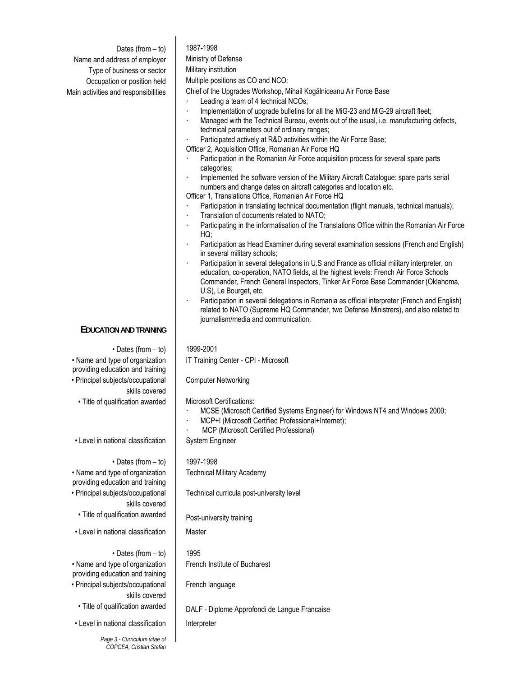Dates (from  $-$  to) | 1987-1998 Name and address of employer | Ministry of Defense Type of business or sector | Military institution Occupation or position held | Multiple positions as CO and NCO: Main activities and responsibilities | Chief of the Upgrades Workshop, Mihail Kogălniceanu Air Force Base Leading a team of 4 technical NCOs; Implementation of upgrade bulletins for all the MiG-23 and MiG-29 aircraft fleet; Managed with the Technical Bureau, events out of the usual, i.e. manufacturing defects, technical parameters out of ordinary ranges; Participated actively at R&D activities within the Air Force Base; Officer 2, Acquisition Office, Romanian Air Force HQ Participation in the Romanian Air Force acquisition process for several spare parts categories; Implemented the software version of the Military Aircraft Catalogue: spare parts serial numbers and change dates on aircraft categories and location etc. Officer 1, Translations Office, Romanian Air Force HQ Participation in translating technical documentation (flight manuals, technical manuals); Translation of documents related to NATO; Participating in the informatisation of the Translations Office within the Romanian Air Force HQ; Participation as Head Examiner during several examination sessions (French and English) in several military schools; Participation in several delegations in U.S and France as official military interpreter, on education, co-operation, NATO fields, at the highest levels: French Air Force Schools Commander, French General Inspectors, Tinker Air Force Base Commander (Oklahoma, U.S), Le Bourget, etc. Participation in several delegations in Romania as official interpreter (French and English) related to NATO (Supreme HQ Commander, two Defense Ministrers), and also related to journalism/media and communication. **EDUCATION AND TRAINING**  $\cdot$  Dates (from – to) | 1999-2001 • Name and type of organization providing education and training IT Training Center - CPI - Microsoft • Principal subjects/occupational skills covered Computer Networking  $\cdot$  Title of qualification awarded  $\parallel$  Microsoft Certifications: · MCSE (Microsoft Certified Systems Engineer) for Windows NT4 and Windows 2000; MCP+I (Microsoft Certified Professional+Internet); MCP (Microsoft Certified Professional) • Level in national classification | System Engineer  $\cdot$  Dates (from  $-$  to) | 1997-1998 • Name and type of organization providing education and training Technical Military Academy • Principal subjects/occupational skills covered Technical curricula post-university level • Title of qualification awarded | Post-university training • Level in national classification | Master  $\cdot$  Dates (from  $-$  to) | 1995 • Name and type of organization providing education and training French Institute of Bucharest • Principal subjects/occupational skills covered French language • Title of qualification awarded | DALF - Diplome Approfondi de Langue Francaise • Level in national classification | Interpreter

*Page 3 - Curriculum vitae of COPCEA, Cristian Stefan*

 $\overline{\phantom{a}}$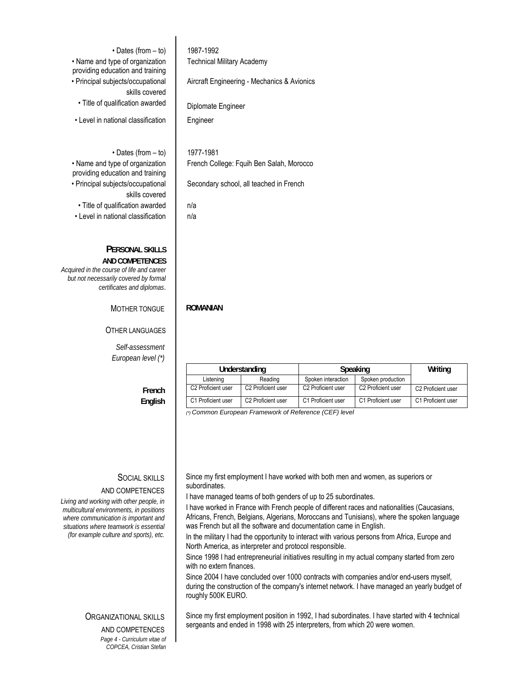$\cdot$  Dates (from  $-$  to) | 1987-1992 • Name and type of organization providing education and training Technical Military Academy • Principal subjects/occupational skills covered Aircraft Engineering - Mechanics & Avionics • Title of qualification awarded | Diplomate Engineer • Level in national classification | Engineer • Dates (from – to) | 1977-1981 • Name and type of organization providing education and training French College: Fquih Ben Salah, Morocco • Principal subjects/occupational skills covered Secondary school, all teached in French  $\cdot$  Title of qualification awarded  $\vert$  n/a  $\cdot$  Level in national classification  $\parallel$  n/a **PERSONAL SKILLS AND COMPETENCES** *Acquired in the course of life and career but not necessarily covered by formal* 

MOTHER TONGUE **ROMANIAN** 

OTHER LANGUAGES

*certificates and diplomas*.

*Self-assessment European level (\*)* 

> **French English**

## SOCIAL SKILLS

### AND COMPETENCES

*Living and working with other people, in multicultural environments, in positions where communication is important and situations where teamwork is essential (for example culture and sports), etc.* 

### ORGANIZATIONAL SKILLS

AND COMPETENCES

*Page 4 - Curriculum vitae of COPCEA, Cristian Stefan*

Understanding | Speaking | Writing Listening Reading Spoken interaction Spoken production C2 Proficient user C2 Proficient user C2 Proficient user C2 Proficient user C2 Proficient user C1 Proficient user C2 Proficient user C1 Proficient user C1 Proficient user C1 Proficient user

*(\*) Common European Framework of Reference (CEF) level*

 Since my first employment I have worked with both men and women, as superiors or subordinates.

I have managed teams of both genders of up to 25 subordinates.

I have worked in France with French people of different races and nationalities (Caucasians, Africans, French, Belgians, Algerians, Moroccans and Tunisians), where the spoken language was French but all the software and documentation came in English.

In the military I had the opportunity to interact with various persons from Africa, Europe and North America, as interpreter and protocol responsible.

Since 1998 I had entrepreneurial initiatives resulting in my actual company started from zero with no extern finances.

Since 2004 I have concluded over 1000 contracts with companies and/or end-users myself, during the construction of the company's internet network. I have managed an yearly budget of roughly 500K EURO.

 Since my first employment position in 1992, I had subordinates. I have started with 4 technical sergeants and ended in 1998 with 25 interpreters, from which 20 were women.